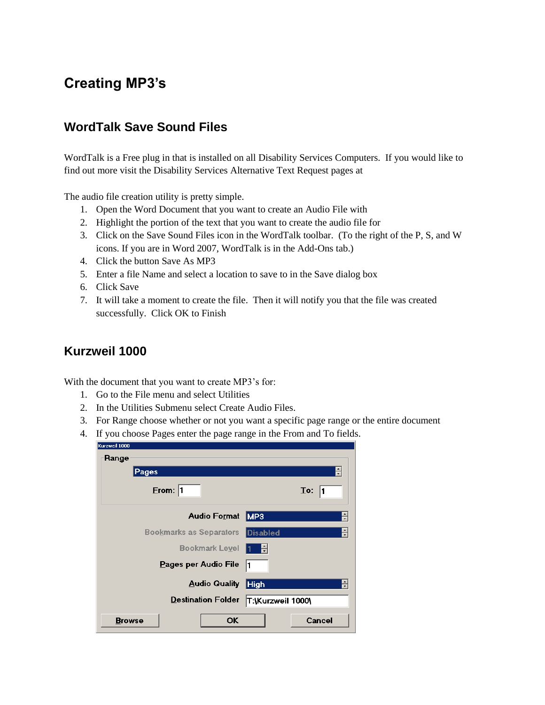# **Creating MP3's**

#### **WordTalk Save Sound Files**

WordTalk is a Free plug in that is installed on all Disability Services Computers. If you would like to find out more visit the Disability Services Alternative Text Request pages at

The audio file creation utility is pretty simple.

- 1. Open the Word Document that you want to create an Audio File with
- 2. Highlight the portion of the text that you want to create the audio file for
- 3. Click on the Save Sound Files icon in the WordTalk toolbar. (To the right of the P, S, and W icons. If you are in Word 2007, WordTalk is in the Add-Ons tab.)
- 4. Click the button Save As MP3
- 5. Enter a file Name and select a location to save to in the Save dialog box
- 6. Click Save
- 7. It will take a moment to create the file. Then it will notify you that the file was created successfully. Click OK to Finish

#### **Kurzweil 1000**

With the document that you want to create MP3's for:

- 1. Go to the File menu and select Utilities
- 2. In the Utilities Submenu select Create Audio Files.
- 3. For Range choose whether or not you want a specific page range or the entire document
- 4. If you choose Pages enter the page range in the From and To fields.

| Kurzweil 1000             |       |           |                                |                 |                   |                       |
|---------------------------|-------|-----------|--------------------------------|-----------------|-------------------|-----------------------|
| Range                     |       |           |                                |                 |                   |                       |
|                           | Pages |           |                                |                 |                   |                       |
|                           |       | Error:  1 |                                |                 |                   | $\mathbf{I}$ o:<br>11 |
|                           |       |           | <b>Audio Format</b>            | MP3             |                   |                       |
|                           |       |           | <b>Bookmarks as Separators</b> | <b>Disabled</b> |                   |                       |
|                           |       |           | <b>Bookmark Level</b>          | H               |                   |                       |
| Pages per Audio File      |       |           |                                |                 |                   |                       |
| <b>Audio Quality</b>      |       |           |                                |                 |                   |                       |
| <b>Destination Folder</b> |       |           |                                |                 | T:\Kurzweil 1000\ |                       |
| <b>Browse</b>             |       |           | OK                             |                 |                   | Cancel                |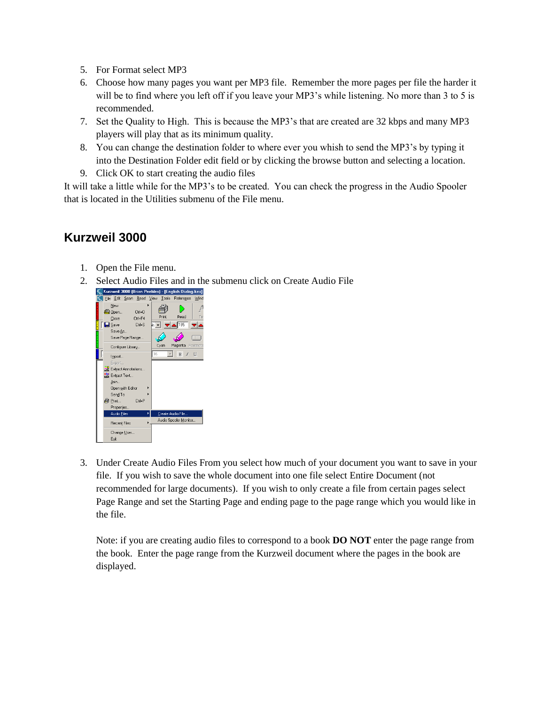- 5. For Format select MP3
- 6. Choose how many pages you want per MP3 file. Remember the more pages per file the harder it will be to find where you left off if you leave your MP3's while listening. No more than 3 to 5 is recommended.
- 7. Set the Quality to High. This is because the MP3's that are created are 32 kbps and many MP3 players will play that as its minimum quality.
- 8. You can change the destination folder to where ever you whish to send the MP3's by typing it into the Destination Folder edit field or by clicking the browse button and selecting a location.
- 9. Click OK to start creating the audio files

It will take a little while for the MP3's to be created. You can check the progress in the Audio Spooler that is located in the Utilities submenu of the File menu.

## **Kurzweil 3000**

- 1. Open the File menu.
- 2. Select Audio Files and in the submenu click on Create Audio File



3. Under Create Audio Files From you select how much of your document you want to save in your file. If you wish to save the whole document into one file select Entire Document (not recommended for large documents). If you wish to only create a file from certain pages select Page Range and set the Starting Page and ending page to the page range which you would like in the file.

Note: if you are creating audio files to correspond to a book **DO NOT** enter the page range from the book. Enter the page range from the Kurzweil document where the pages in the book are displayed.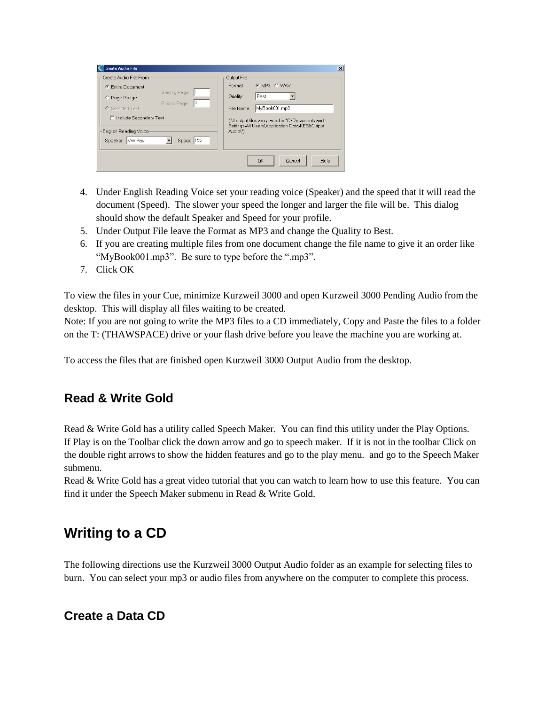| Create Audio File From:               | Output File                                                 |  |  |  |  |
|---------------------------------------|-------------------------------------------------------------|--|--|--|--|
| <b>Entire Document</b><br>$\sigma$    | C MP3 C WAV<br>Format:                                      |  |  |  |  |
| Starting Page:<br>C Page Range        | Best<br>Quality:                                            |  |  |  |  |
| Ending Page:<br>14<br>C Selected Text | MyBook001.mp3<br>File Name:                                 |  |  |  |  |
| □ Include Secondary Text              | (All output files are placed in "C:\Documents and           |  |  |  |  |
| English Reading Voice                 | Settings\All Users\Application Data\KESI\Output<br>Audio\") |  |  |  |  |
| Speed: 195<br>Speaker: WV Paul        |                                                             |  |  |  |  |
|                                       |                                                             |  |  |  |  |
|                                       | OK<br>Help<br>Cancel                                        |  |  |  |  |

- 4. Under English Reading Voice set your reading voice (Speaker) and the speed that it will read the document (Speed). The slower your speed the longer and larger the file will be. This dialog should show the default Speaker and Speed for your profile.
- 5. Under Output File leave the Format as MP3 and change the Quality to Best.
- 6. If you are creating multiple files from one document change the file name to give it an order like "MyBook001.mp3". Be sure to type before the ".mp3".
- 7. Click OK

To view the files in your Cue, minimize Kurzweil 3000 and open Kurzweil 3000 Pending Audio from the desktop. This will display all files waiting to be created.

Note: If you are not going to write the MP3 files to a CD immediately, Copy and Paste the files to a folder on the T: (THAWSPACE) drive or your flash drive before you leave the machine you are working at.

To access the files that are finished open Kurzweil 3000 Output Audio from the desktop.

#### **Read & Write Gold**

Read & Write Gold has a utility called Speech Maker. You can find this utility under the Play Options. If Play is on the Toolbar click the down arrow and go to speech maker. If it is not in the toolbar Click on the double right arrows to show the hidden features and go to the play menu. and go to the Speech Maker submenu.

Read & Write Gold has a great video tutorial that you can watch to learn how to use this feature. You can find it under the Speech Maker submenu in Read & Write Gold.

## **Writing to a CD**

The following directions use the Kurzweil 3000 Output Audio folder as an example for selecting files to burn. You can select your mp3 or audio files from anywhere on the computer to complete this process.

#### **Create a Data CD**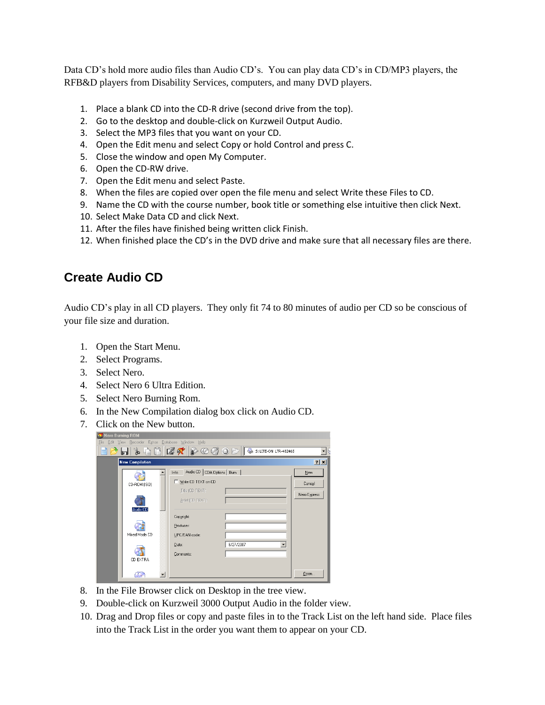Data CD's hold more audio files than Audio CD's. You can play data CD's in CD/MP3 players, the RFB&D players from Disability Services, computers, and many DVD players.

- 1. Place a blank CD into the CD-R drive (second drive from the top).
- 2. Go to the desktop and double-click on Kurzweil Output Audio.
- 3. Select the MP3 files that you want on your CD.
- 4. Open the Edit menu and select Copy or hold Control and press C.
- 5. Close the window and open My Computer.
- 6. Open the CD-RW drive.
- 7. Open the Edit menu and select Paste.
- 8. When the files are copied over open the file menu and select Write these Files to CD.
- 9. Name the CD with the course number, book title or something else intuitive then click Next.
- 10. Select Make Data CD and click Next.
- 11. After the files have finished being written click Finish.
- 12. When finished place the CD's in the DVD drive and make sure that all necessary files are there.

## **Create Audio CD**

Audio CD's play in all CD players. They only fit 74 to 80 minutes of audio per CD so be conscious of your file size and duration.

- 1. Open the Start Menu.
- 2. Select Programs.
- 3. Select Nero.
- 4. Select Nero 6 Ultra Edition.
- 5. Select Nero Burning Rom.
- 6. In the New Compilation dialog box click on Audio CD.
- 7. Click on the New button.

| Nero Burning ROM |                                                     |                          |                                       |                                                |              |
|------------------|-----------------------------------------------------|--------------------------|---------------------------------------|------------------------------------------------|--------------|
|                  | File Edit View Recorder Extras Database Window Help |                          |                                       |                                                |              |
|                  | $\frac{1}{\infty}$<br>iri                           |                          |                                       | <b>Q</b> Q 2 2 ⊙ ⊙ ⊙ ⊙ S S: LITE-ON LTR-482465 |              |
|                  | <b>New Compilation</b>                              |                          |                                       |                                                | 2x           |
|                  |                                                     |                          | Audio CD CDA Options   Burn  <br>Info |                                                | New          |
|                  | CD-ROM (ISO)                                        |                          | Write CD TEXT on CD                   |                                                | Cancel       |
|                  | Audio CD                                            |                          | Title (CD TEXT):<br>Artist (CD TEXT): |                                                | Nero Express |
|                  |                                                     |                          | Copyright:<br>Producer:               |                                                |              |
|                  | Mixed Mode CD                                       |                          | UPC/EAN code:                         |                                                |              |
|                  | CD EXTRA                                            |                          | Date:<br>Comments:                    | 8/27/2007<br>$\overline{\phantom{a}}$          |              |
|                  | ۰.                                                  | $\overline{\phantom{a}}$ |                                       |                                                | Open         |

- 8. In the File Browser click on Desktop in the tree view.
- 9. Double-click on Kurzweil 3000 Output Audio in the folder view.
- 10. Drag and Drop files or copy and paste files in to the Track List on the left hand side. Place files into the Track List in the order you want them to appear on your CD.